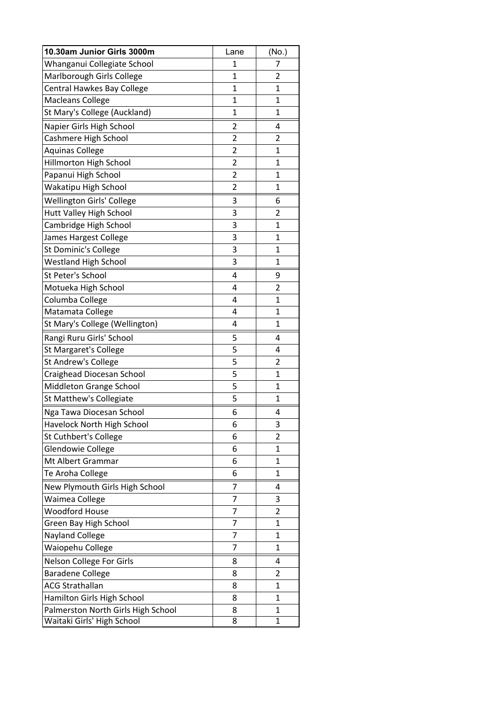| 10.30am Junior Girls 3000m         | Lane           | (No.)          |
|------------------------------------|----------------|----------------|
| Whanganui Collegiate School        | 1              | 7              |
| Marlborough Girls College          | $\mathbf{1}$   | $\overline{2}$ |
| Central Hawkes Bay College         | 1              | 1              |
| <b>Macleans College</b>            | 1              | $\mathbf{1}$   |
| St Mary's College (Auckland)       | $\mathbf{1}$   | 1              |
| Napier Girls High School           | 2              | 4              |
| Cashmere High School               | $\overline{2}$ | 2              |
| <b>Aquinas College</b>             | $\overline{2}$ | $\mathbf{1}$   |
| Hillmorton High School             | $\overline{2}$ | $\mathbf{1}$   |
| Papanui High School                | $\overline{2}$ | 1              |
| Wakatipu High School               | $\overline{2}$ | $\mathbf{1}$   |
| Wellington Girls' College          | 3              | 6              |
| Hutt Valley High School            | 3              | $\overline{2}$ |
| Cambridge High School              | 3              | 1              |
| James Hargest College              | 3              | 1              |
| St Dominic's College               | 3              | $\mathbf{1}$   |
| <b>Westland High School</b>        | 3              | $\mathbf{1}$   |
| St Peter's School                  | 4              | 9              |
| Motueka High School                | 4              | $\overline{2}$ |
| Columba College                    | 4              | $\mathbf{1}$   |
| Matamata College                   | 4              | 1              |
| St Mary's College (Wellington)     | 4              | 1              |
| Rangi Ruru Girls' School           | 5              | 4              |
| <b>St Margaret's College</b>       | 5              | 4              |
| St Andrew's College                | 5              | 2              |
| Craighead Diocesan School          | 5              | 1              |
| Middleton Grange School            | 5              | $\mathbf{1}$   |
| St Matthew's Collegiate            | 5              | $\mathbf{1}$   |
| Nga Tawa Diocesan School           | 6              | 4              |
| Havelock North High School         | 6              | 3              |
| <b>St Cuthbert's College</b>       | 6              | 2              |
| Glendowie College                  | 6              | 1              |
| Mt Albert Grammar                  | 6              | $\mathbf{1}$   |
| Te Aroha College                   | 6              | 1              |
| New Plymouth Girls High School     | 7              | 4              |
| Waimea College                     | 7              | 3              |
| <b>Woodford House</b>              | 7              | 2              |
| Green Bay High School              | 7              | $\mathbf{1}$   |
| <b>Nayland College</b>             | 7              | $\mathbf{1}$   |
| Waiopehu College                   | 7              | 1              |
| Nelson College For Girls           | 8              | 4              |
| <b>Baradene College</b>            | 8              | $\overline{2}$ |
| <b>ACG Strathallan</b>             | 8              | $\mathbf{1}$   |
| Hamilton Girls High School         | 8              | 1              |
| Palmerston North Girls High School | 8              | 1              |
| Waitaki Girls' High School         | 8              | $\mathbf{1}$   |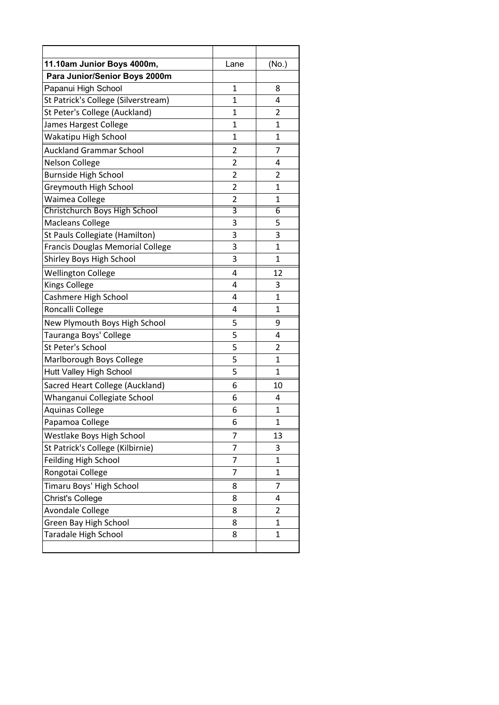| 11.10am Junior Boys 4000m,          | Lane           | (No.)          |
|-------------------------------------|----------------|----------------|
| Para Junior/Senior Boys 2000m       |                |                |
| Papanui High School                 | 1              | 8              |
| St Patrick's College (Silverstream) | 1              | 4              |
| St Peter's College (Auckland)       | 1              | 2              |
| James Hargest College               | 1              | 1              |
| Wakatipu High School                | $\mathbf{1}$   | $\mathbf{1}$   |
| <b>Auckland Grammar School</b>      | 2              | 7              |
| <b>Nelson College</b>               | 2              | 4              |
| <b>Burnside High School</b>         | $\overline{2}$ | 2              |
| <b>Greymouth High School</b>        | $\overline{2}$ | $\mathbf{1}$   |
| Waimea College                      | $\overline{2}$ | 1              |
| Christchurch Boys High School       | 3              | 6              |
| <b>Macleans College</b>             | 3              | 5              |
| St Pauls Collegiate (Hamilton)      | 3              | 3              |
| Francis Douglas Memorial College    | 3              | $\mathbf{1}$   |
| Shirley Boys High School            | 3              | 1              |
| <b>Wellington College</b>           | 4              | 12             |
| <b>Kings College</b>                | 4              | 3              |
| Cashmere High School                | 4              | $\mathbf{1}$   |
| Roncalli College                    | 4              | 1              |
| New Plymouth Boys High School       | 5              | 9              |
| Tauranga Boys' College              | 5              | 4              |
| St Peter's School                   | 5              | $\overline{2}$ |
| Marlborough Boys College            | 5              | 1              |
| <b>Hutt Valley High School</b>      | 5              | $\mathbf{1}$   |
| Sacred Heart College (Auckland)     | 6              | 10             |
| Whanganui Collegiate School         | 6              | 4              |
| <b>Aquinas College</b>              | 6              | $\mathbf 1$    |
| Papamoa College                     | 6              | $\mathbf 1$    |
| Westlake Boys High School           | 7              | 13             |
| St Patrick's College (Kilbirnie)    | 7              | 3              |
| Feilding High School                | 7              | $\mathbf 1$    |
| Rongotai College                    | 7              | $\mathbf{1}$   |
| Timaru Boys' High School            | 8              | 7              |
| <b>Christ's College</b>             | 8              | 4              |
| Avondale College                    | 8              | $\overline{2}$ |
| Green Bay High School               | 8              | $\mathbf{1}$   |
| Taradale High School                | 8              | $\mathbf 1$    |
|                                     |                |                |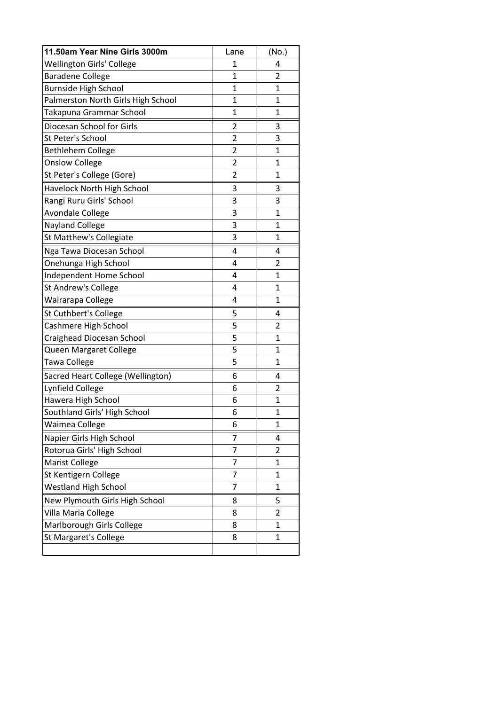| 11.50am Year Nine Girls 3000m      | Lane           | (No.)          |
|------------------------------------|----------------|----------------|
| <b>Wellington Girls' College</b>   | 1              | 4              |
| <b>Baradene College</b>            | 1              | $\overline{2}$ |
| <b>Burnside High School</b>        | 1              | 1              |
| Palmerston North Girls High School | $\mathbf{1}$   | $\mathbf{1}$   |
| Takapuna Grammar School            | 1              | $\mathbf{1}$   |
| Diocesan School for Girls          | $\overline{2}$ | 3              |
| St Peter's School                  | $\overline{2}$ | 3              |
| <b>Bethlehem College</b>           | $\overline{2}$ | $\mathbf{1}$   |
| <b>Onslow College</b>              | $\overline{2}$ | $\mathbf{1}$   |
| St Peter's College (Gore)          | 2              | 1              |
| Havelock North High School         | 3              | 3              |
| Rangi Ruru Girls' School           | 3              | 3              |
| <b>Avondale College</b>            | 3              | $\mathbf{1}$   |
| <b>Nayland College</b>             | 3              | 1              |
| St Matthew's Collegiate            | 3              | 1              |
| Nga Tawa Diocesan School           | 4              | 4              |
| Onehunga High School               | 4              | $\overline{2}$ |
| Independent Home School            | 4              | $\mathbf{1}$   |
| St Andrew's College                | 4              | 1              |
| Wairarapa College                  | 4              | $\mathbf{1}$   |
| <b>St Cuthbert's College</b>       | 5              | 4              |
| Cashmere High School               | 5              | 2              |
| Craighead Diocesan School          | 5              | $\mathbf{1}$   |
| Queen Margaret College             | 5              | $\mathbf{1}$   |
| Tawa College                       | 5              | 1              |
| Sacred Heart College (Wellington)  | 6              | 4              |
| Lynfield College                   | 6              | $\overline{2}$ |
| Hawera High School                 | 6              | $\mathbf{1}$   |
| Southland Girls' High School       | 6              | $\mathbf{1}$   |
| Waimea College                     | 6              | 1              |
| Napier Girls High School           | 7              | 4              |
| Rotorua Girls' High School         | 7              | 2              |
| Marist College                     | 7              | $\mathbf{1}$   |
| St Kentigern College               | 7              | 1              |
| <b>Westland High School</b>        | 7              | $\mathbf{1}$   |
| New Plymouth Girls High School     | 8              | 5              |
| Villa Maria College                | 8              | $\overline{2}$ |
| Marlborough Girls College          | 8              | 1              |
| <b>St Margaret's College</b>       | 8              | $\mathbf{1}$   |
|                                    |                |                |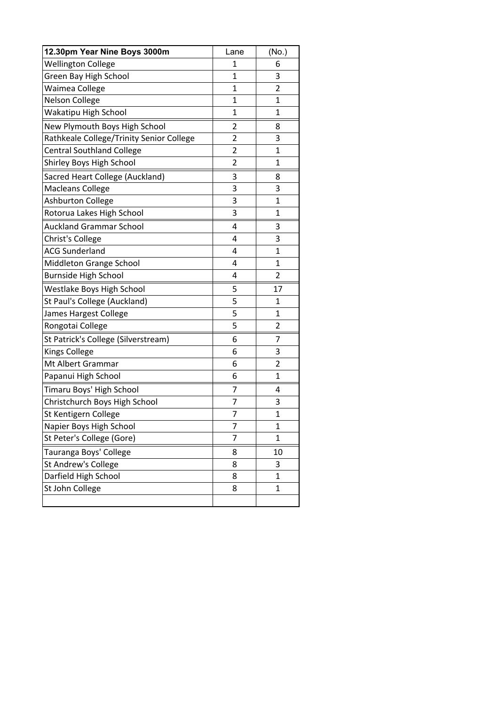| 12.30pm Year Nine Boys 3000m             | Lane           | (No.)        |
|------------------------------------------|----------------|--------------|
| <b>Wellington College</b>                | 1              | 6            |
| Green Bay High School                    | 1              | 3            |
| Waimea College                           | $\mathbf{1}$   | 2            |
| <b>Nelson College</b>                    | 1              | 1            |
| Wakatipu High School                     | 1              | $\mathbf 1$  |
| New Plymouth Boys High School            | $\overline{2}$ | 8            |
| Rathkeale College/Trinity Senior College | $\overline{2}$ | 3            |
| <b>Central Southland College</b>         | 2              | 1            |
| Shirley Boys High School                 | $\overline{c}$ | 1            |
| Sacred Heart College (Auckland)          | 3              | 8            |
| <b>Macleans College</b>                  | 3              | 3            |
| <b>Ashburton College</b>                 | 3              | 1            |
| Rotorua Lakes High School                | 3              | 1            |
| <b>Auckland Grammar School</b>           | 4              | 3            |
| Christ's College                         | 4              | 3            |
| <b>ACG Sunderland</b>                    | 4              | 1            |
| Middleton Grange School                  | 4              | $\mathbf{1}$ |
| <b>Burnside High School</b>              | 4              | 2            |
| Westlake Boys High School                | 5              | 17           |
| St Paul's College (Auckland)             | 5              | 1            |
| James Hargest College                    | 5              | 1            |
| Rongotai College                         | 5              | 2            |
| St Patrick's College (Silverstream)      | 6              | 7            |
| <b>Kings College</b>                     | 6              | 3            |
| Mt Albert Grammar                        | 6              | 2            |
| Papanui High School                      | 6              | $\mathbf{1}$ |
| Timaru Boys' High School                 | 7              | 4            |
| Christchurch Boys High School            | 7              | 3            |
| St Kentigern College                     | 7              | $\mathbf{1}$ |
| Napier Boys High School                  | 7              | $\mathbf{1}$ |
| St Peter's College (Gore)                | 7              | 1            |
| Tauranga Boys' College                   | 8              | 10           |
| St Andrew's College                      | 8              | 3            |
| Darfield High School                     | 8              | $\mathbf{1}$ |
| St John College                          | 8              | $\mathbf{1}$ |
|                                          |                |              |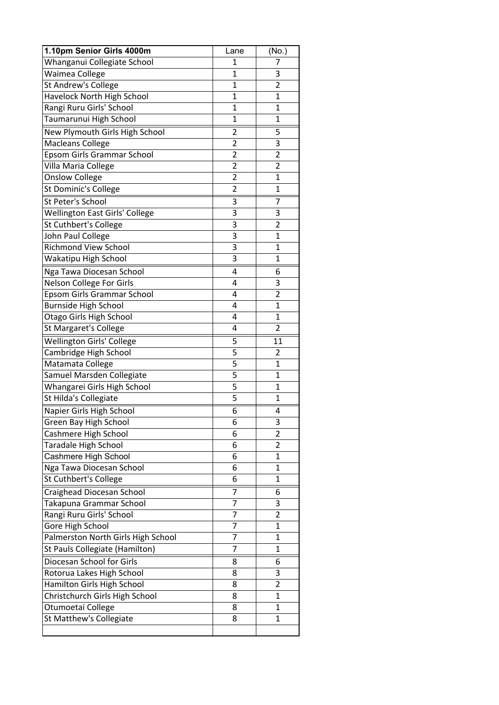| 1.10pm Senior Girls 4000m             | Lane           | (No.)          |
|---------------------------------------|----------------|----------------|
| Whanganui Collegiate School           | $\mathbf{1}$   | 7              |
| Waimea College                        | 1              | 3              |
| St Andrew's College                   | $\mathbf{1}$   | 2              |
| Havelock North High School            | 1              | $\mathbf{1}$   |
| Rangi Ruru Girls' School              | 1              | $\mathbf 1$    |
| Taumarunui High School                | $\mathbf{1}$   | $\mathbf{1}$   |
| New Plymouth Girls High School        | 2              | 5              |
| <b>Macleans College</b>               | 2              | 3              |
| Epsom Girls Grammar School            | $\overline{2}$ | 2              |
| Villa Maria College                   | $\overline{2}$ | $\overline{2}$ |
| <b>Onslow College</b>                 | $\overline{2}$ | 1              |
| St Dominic's College                  | $\overline{2}$ | $\mathbf{1}$   |
| St Peter's School                     | 3              | 7              |
| <b>Wellington East Girls' College</b> | 3              | 3              |
| St Cuthbert's College                 | 3              | 2              |
| John Paul College                     | 3              | $\mathbf{1}$   |
| <b>Richmond View School</b>           | 3              | $\mathbf{1}$   |
| Wakatipu High School                  | 3              | $\mathbf{1}$   |
| Nga Tawa Diocesan School              | 4              | 6              |
| Nelson College For Girls              | 4              | 3              |
| Epsom Girls Grammar School            | 4              | 2              |
| <b>Burnside High School</b>           | 4              | $\mathbf{1}$   |
| Otago Girls High School               | 4              | $\mathbf{1}$   |
| St Margaret's College                 | 4              | $\overline{2}$ |
| Wellington Girls' College             | 5              | 11             |
| Cambridge High School                 | 5              | 2              |
| Matamata College                      | 5              | $\overline{1}$ |
| Samuel Marsden Collegiate             | 5              | 1              |
| Whangarei Girls High School           | 5              | $\mathbf{1}$   |
| St Hilda's Collegiate                 | 5              | $\mathbf{1}$   |
| Napier Girls High School              | 6              | 4              |
| Green Bay High School                 | 6              | 3              |
| Cashmere High School                  | 6              | 2              |
| <b>Taradale High School</b>           | 6              | $\overline{2}$ |
| Cashmere High School                  | 6              | 1              |
| Nga Tawa Diocesan School              | 6              | 1              |
| St Cuthbert's College                 | 6              | 1              |
| Craighead Diocesan School             | 7              | 6              |
| Takapuna Grammar School               | 7              | 3              |
| Rangi Ruru Girls' School              | 7              | 2              |
| Gore High School                      | 7              | $\mathbf{1}$   |
| Palmerston North Girls High School    | 7              | 1              |
| St Pauls Collegiate (Hamilton)        | 7              | $\mathbf{1}$   |
| Diocesan School for Girls             | 8              | 6              |
| Rotorua Lakes High School             | 8              | 3              |
| Hamilton Girls High School            | 8              | $\overline{2}$ |
| Christchurch Girls High School        | 8              | $\mathbf{1}$   |
| Otumoetai College                     | 8              | $\mathbf{1}$   |
| St Matthew's Collegiate               | 8              | 1              |
|                                       |                |                |